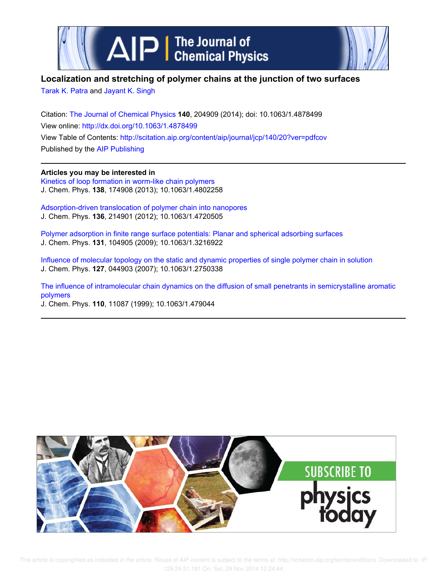

## **Localization and stretching of polymer chains at the junction of two surfaces**

Tarak K. Patra and Jayant K. Singh

Citation: The Journal of Chemical Physics **140**, 204909 (2014); doi: 10.1063/1.4878499 View online: http://dx.doi.org/10.1063/1.4878499 View Table of Contents: http://scitation.aip.org/content/aip/journal/jcp/140/20?ver=pdfcov Published by the AIP Publishing

**Articles you may be interested in** Kinetics of loop formation in worm-like chain polymers

J. Chem. Phys. **138**, 174908 (2013); 10.1063/1.4802258

Adsorption-driven translocation of polymer chain into nanopores J. Chem. Phys. **136**, 214901 (2012); 10.1063/1.4720505

Polymer adsorption in finite range surface potentials: Planar and spherical adsorbing surfaces J. Chem. Phys. **131**, 104905 (2009); 10.1063/1.3216922

Influence of molecular topology on the static and dynamic properties of single polymer chain in solution J. Chem. Phys. **127**, 044903 (2007); 10.1063/1.2750338

The influence of intramolecular chain dynamics on the diffusion of small penetrants in semicrystalline aromatic polymers

J. Chem. Phys. **110**, 11087 (1999); 10.1063/1.479044

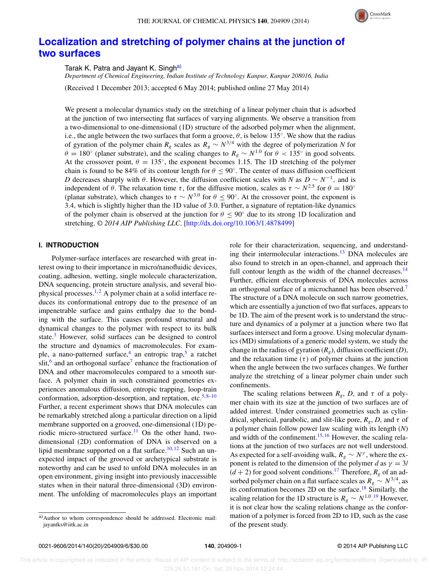

# **Localization and stretching of polymer chains at the junction of two surfaces**

Tarak K. Patra and Jayant K. Singha)

*Department of Chemical Engineering, Indian Institute of Technology Kanpur, Kanpur 208016, India*

(Received 1 December 2013; accepted 6 May 2014; published online 27 May 2014)

We present a molecular dynamics study on the stretching of a linear polymer chain that is adsorbed at the junction of two intersecting flat surfaces of varying alignments. We observe a transition from a two-dimensional to one-dimensional (1D) structure of the adsorbed polymer when the alignment, i.e., the angle between the two surfaces that form a groove,  $\theta$ , is below 135°. We show that the radius of gyration of the polymer chain  $R_g$  scales as  $R_g \sim N^{3/4}$  with the degree of polymerization *N* for  $\theta = 180^\circ$  (planer substrate), and the scaling changes to  $R_g \sim N^{1.0}$  for  $\theta < 135^\circ$  in good solvents. At the crossover point,  $\theta = 135^{\circ}$ , the exponent becomes 1.15. The 1D stretching of the polymer chain is found to be 84% of its contour length for  $\theta \le 90^\circ$ . The center of mass diffusion coefficient *D* decreases sharply with  $\theta$ . However, the diffusion coefficient scales with *N* as  $D \sim N^{-1}$ , and is independent of  $\theta$ . The relaxation time  $\tau$ , for the diffusive motion, scales as  $\tau \sim N^{2.5}$  for  $\theta = 180^\circ$ (planar substrate), which changes to  $\tau \sim N^{3.0}$  for  $\theta \le 90^\circ$ . At the crossover point, the exponent is 3.4, which is slightly higher than the 1D value of 3.0. Further, a signature of reptation-like dynamics of the polymer chain is observed at the junction for  $\theta \le 90^\circ$  due to its strong 1D localization and stretching. *© 2014 AIP Publishing LLC*. [http://dx.doi.org/10.1063/1.4878499]

## **I. INTRODUCTION**

Polymer-surface interfaces are researched with great interest owing to their importance in micro/nanofluidic devices, coating, adhesion, wetting, single molecule characterization, DNA sequencing, protein structure analysis, and several biophysical processes.<sup>1,2</sup> A polymer chain at a solid interface reduces its conformational entropy due to the presence of an impenetrable surface and gains enthalpy due to the bonding with the surface. This causes profound structural and dynamical changes to the polymer with respect to its bulk state.<sup>3</sup> However, solid surfaces can be designed to control the structure and dynamics of macromolecules. For example, a nano-patterned surface,<sup>4</sup> an entropic trap,<sup>5</sup> a ratchet slit,<sup>6</sup> and an orthogonal surface<sup>7</sup> enhance the fractionation of DNA and other macromolecules compared to a smooth surface. A polymer chain in such constrained geometries experiences anomalous diffusion, entropic trapping, loop-train conformation, adsorption-desorption, and reptation, etc. $5,8-10$ Further, a recent experiment shows that DNA molecules can be remarkably stretched along a particular direction on a lipid membrane supported on a grooved, one-dimensional (1D) periodic micro-structured surface.<sup>11</sup> On the other hand, twodimensional (2D) conformation of DNA is observed on a lipid membrane supported on a flat surface.<sup>10, 12</sup> Such an unexpected impact of the grooved or archetypical substrate is noteworthy and can be used to unfold DNA molecules in an open environment, giving insight into previously inaccessible states when in their natural three-dimensional (3D) environment. The unfolding of macromolecules plays an important role for their characterization, sequencing, and understanding their intermolecular interactions.<sup>13</sup> DNA molecules are also found to stretch in an open-channel, and approach their full contour length as the width of the channel decreases. $^{14}$ Further, efficient electrophoresis of DNA molecules across an orthogonal surface of a microchannel has been observed.<sup>7</sup> The structure of a DNA molecule on such narrow geometries, which are essentially a junction of two flat surfaces, appears to be 1D. The aim of the present work is to understand the structure and dynamics of a polymer at a junction where two flat surfaces intersect and form a groove. Using molecular dynamics (MD) simulations of a generic model system, we study the change in the radius of gyration  $(R<sub>g</sub>)$ , diffusion coefficient  $(D)$ , and the relaxation time  $(\tau)$  of polymer chains at the junction when the angle between the two surfaces changes. We further analyze the stretching of a linear polymer chain under such confinements.

The scaling relations between  $R_g$ , *D*, and  $\tau$  of a polymer chain with its size at the junction of two surfaces are of added interest. Under constrained geometries such as cylindrical, spherical, parabolic, and slit-like pore,  $R_g$ , *D*, and  $\tau$  of a polymer chain follow power law scaling with its length (*N*) and width of the confinement. $15, 16$  However, the scaling relations at the junction of two surfaces are not well understood. As expected for a self-avoiding walk,  $R_g \sim N^{\gamma}$ , where the exponent is related to the dimension of the polymer *d* as  $\gamma = 3/$  $(d+2)$  for good solvent conditions.<sup>17</sup> Therefore,  $R_g$  of an adsorbed polymer chain on a flat surface scales as  $R_g \sim N^{3/4}$ , as its conformation becomes 2D on the surface.<sup>18</sup> Similarly, the scaling relation for the 1D structure is  $R_g \sim N^{1.0.19}$  However, it is not clear how the scaling relations change as the conformation of a polymer is forced from 2D to 1D, such as the case of the present study.

a)Author to whom correspondence should be addressed. Electronic mail: jayantks@iitk.ac.in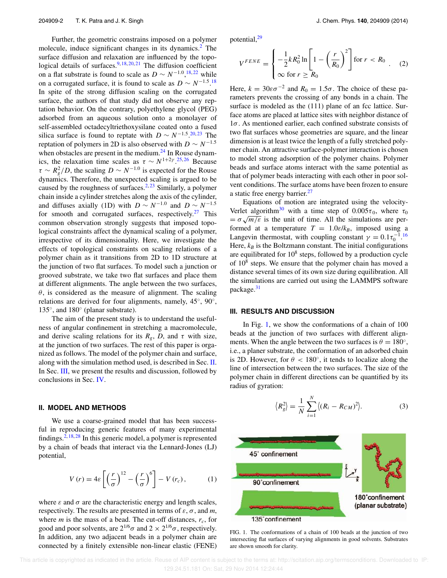Further, the geometric constrains imposed on a polymer molecule, induce significant changes in its dynamics.<sup>2</sup> The surface diffusion and relaxation are influenced by the topological details of surfaces.  $9,18,20,21$  The diffusion coefficient on a flat substrate is found to scale as  $D \sim N^{-1.0}$ , <sup>18, 22</sup> while on a corrugated surface, it is found to scale as  $D \sim N^{-1.5}$  18 In spite of the strong diffusion scaling on the corrugated surface, the authors of that study did not observe any reptation behavior. On the contrary, polyethylene glycol (PEG) adsorbed from an aqueous solution onto a monolayer of self-assembled octadecyltriethoxysilane coated onto a fused silica surface is found to reptate with  $D \sim N^{-1.5}$  <sup>20,23</sup>. The reptation of polymers in 2D is also observed with  $D \sim N^{-1.5}$ when obstacles are present in the medium. $24$  In Rouse dynamics, the relaxation time scales as  $\tau \sim N^{1+2\gamma}$ .<sup>25,26</sup> Because  $\tau \sim R_g^2/D$ , the scaling  $D \sim N^{-1.0}$  is expected for the Rouse dynamics. Therefore, the unexpected scaling is argued to be caused by the roughness of surfaces.<sup>2, 23</sup> Similarly, a polymer chain inside a cylinder stretches along the axis of the cylinder, and diffuses axially (1D) with  $D \sim N^{-1.0}$  and  $D \sim N^{-1.5}$ for smooth and corrugated surfaces, respectively.<sup>27</sup> This common observation strongly suggests that imposed topological constraints affect the dynamical scaling of a polymer, irrespective of its dimensionality. Here, we investigate the effects of topological constraints on scaling relations of a polymer chain as it transitions from 2D to 1D structure at the junction of two flat surfaces. To model such a junction or grooved substrate, we take two flat surfaces and place them at different alignments. The angle between the two surfaces,  $\theta$ , is considered as the measure of alignment. The scaling relations are derived for four alignments, namely,  $45^{\circ}$ ,  $90^{\circ}$ , 135◦ , and 180◦ (planar substrate).

The aim of the present study is to understand the usefulness of angular confinement in stretching a macromolecule, and derive scaling relations for its  $R_g$ ,  $D$ , and  $\tau$  with size, at the junction of two surfaces. The rest of this paper is organized as follows. The model of the polymer chain and surface, along with the simulation method used, is described in Sec. II. In Sec. III, we present the results and discussion, followed by conclusions in Sec. IV.

### **II. MODEL AND METHODS**

We use a coarse-grained model that has been successful in reproducing generic features of many experimental findings.<sup>2, 18, 28</sup> In this generic model, a polymer is represented by a chain of beads that interact via the Lennard-Jones (LJ) potential,

$$
V(r) = 4\varepsilon \left[ \left( \frac{r}{\sigma} \right)^{12} - \left( \frac{r}{\sigma} \right)^6 \right] - V(r_c), \qquad (1)
$$

where  $\varepsilon$  and  $\sigma$  are the characteristic energy and length scales, respectively. The results are presented in terms of  $\varepsilon$ ,  $\sigma$ , and *m*, where *m* is the mass of a bead. The cut-off distances,  $r_c$ , for good and poor solvents, are  $2^{1/6}\sigma$  and  $2 \times 2^{1/6}\sigma$ , respectively. In addition, any two adjacent beads in a polymer chain are connected by a finitely extensible non-linear elastic (FENE) potential,<sup>29</sup>

$$
V^{FENE} = \begin{cases} -\frac{1}{2}kR_0^2 \ln\left[1 - \left(\frac{r}{R_0}\right)^2\right] \text{for } r < R_0\\ \infty \text{ for } r \ge R_0 \end{cases} \tag{2}
$$

Here,  $k = 30\varepsilon\sigma^{-2}$  and  $R_0 = 1.5\sigma$ . The choice of these parameters prevents the crossing of any bonds in a chain. The surface is modeled as the (111) plane of an fcc lattice. Surface atoms are placed at lattice sites with neighbor distance of 1σ. As mentioned earlier, each confined substrate consists of two flat surfaces whose geometries are square, and the linear dimension is at least twice the length of a fully stretched polymer chain. An attractive surface-polymer interaction is chosen to model strong adsorption of the polymer chains. Polymer beads and surface atoms interact with the same potential as that of polymer beads interacting with each other in poor solvent conditions. The surface atoms have been frozen to ensure a static free energy barrier.<sup>27</sup>

Equations of motion are integrated using the velocity-Verlet algorithm<sup>30</sup> with a time step of  $0.005\tau_0$ , where  $\tau_0$  $=\sigma\sqrt{m/\varepsilon}$  is the unit of time. All the simulations are performed at a temperature  $T = 1.0 \varepsilon / k_B$ , imposed using a Langevin thermostat, with coupling constant  $\gamma = 0.1 \tau_0^{-1.16}$ Here,  $k_B$  is the Boltzmann constant. The initial configurations are equilibrated for  $10^8$  steps, followed by a production cycle of 10<sup>8</sup> steps. We ensure that the polymer chain has moved a distance several times of its own size during equilibration. All the simulations are carried out using the LAMMPS software package.<sup>31</sup>

#### **III. RESULTS AND DISCUSSION**

In Fig. 1, we show the conformations of a chain of 100 beads at the junction of two surfaces with different alignments. When the angle between the two surfaces is  $\theta = 180^\circ$ , i.e., a planer substrate, the conformation of an adsorbed chain is 2D. However, for  $\theta < 180^{\circ}$ , it tends to localize along the line of intersection between the two surfaces. The size of the polymer chain in different directions can be quantified by its radius of gyration:

$$
\langle R_g^2 \rangle = \frac{1}{N} \sum_{i=1}^N \langle (R_i - R_{CM})^2 \rangle.
$$
 (3)



FIG. 1. The conformations of a chain of 100 beads at the junction of two intersecting flat surfaces of varying alignments in good solvents. Substrates are shown smooth for clarity.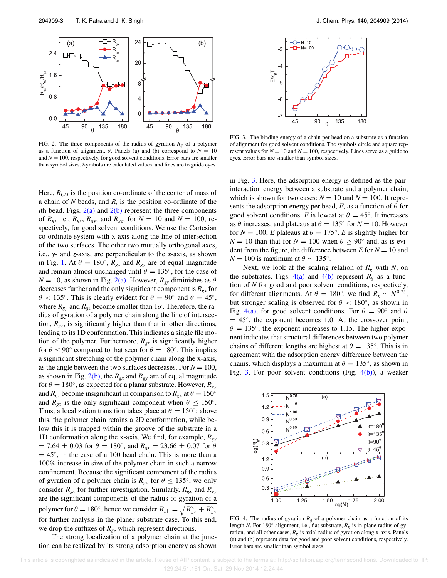

FIG. 2. The three components of the radius of gyration  $R_g$  of a polymer as a function of alignment,  $\theta$ . Panels (a) and (b) correspond to  $N = 10$ and  $N = 100$ , respectively, for good solvent conditions. Error bars are smaller than symbol sizes. Symbols are calculated values, and lines are to guide eyes.

Here, *RCM* is the position co-ordinate of the center of mass of a chain of *N* beads, and  $R_i$  is the position co-ordinate of the *i*th bead. Figs.  $2(a)$  and  $2(b)$  represent the three components of  $R_g$ , i.e.,  $R_{gx}$ ,  $R_{gy}$ , and  $R_{gz}$ , for  $N = 10$  and  $N = 100$ , respectively, for good solvent conditions. We use the Cartesian co-ordinate system with x-axis along the line of intersection of the two surfaces. The other two mutually orthogonal axes, i.e., *y*- and *z*-axis, are perpendicular to the *x*-axis, as shown in Fig. 1. At  $\theta = 180^\circ$ ,  $R_{gx}$  and  $R_{gy}$  are of equal magnitude and remain almost unchanged until  $\theta = 135^\circ$ , for the case of  $N = 10$ , as shown in Fig. 2(a). However,  $R_{gy}$  diminishes as  $\theta$ decreases further and the only significant component is  $R_{gx}$  for  $\theta$  < 135°. This is clearly evident for  $\theta = 90^\circ$  and  $\theta = 45^\circ$ , where  $R_{gy}$  and  $R_{gz}$  become smaller than  $1\sigma$ . Therefore, the radius of gyration of a polymer chain along the line of intersection,  $R_{gx}$ , is significantly higher than that in other directions, leading to its 1D conformation. This indicates a single file motion of the polymer. Furthermore, *Rgx* is significantly higher for  $\theta \le 90^\circ$  compared to that seen for  $\theta = 180^\circ$ . This implies a significant stretching of the polymer chain along the x-axis, as the angle between the two surfaces decreases. For  $N = 100$ , as shown in Fig.  $2(b)$ , the  $R_{gx}$  and  $R_{gy}$  are of equal magnitude for  $\theta = 180^\circ$ , as expected for a planar substrate. However,  $R_{gy}$ and  $R_{gz}$  become insignificant in comparison to  $R_{gx}$  at  $\theta = 150^\circ$ and  $R_{gx}$  is the only significant component when  $\theta \leq 150^\circ$ . Thus, a localization transition takes place at  $\theta = 150^\circ$ : above this, the polymer chain retains a 2D conformation, while below this it is trapped within the groove of the substrate in a 1D conformation along the x-axis. We find, for example, *Rgx*  $= 7.64 \pm 0.03$  for  $\theta = 180^{\circ}$ , and  $R_{gx} = 23.66 \pm 0.07$  for  $\theta$  $= 45^\circ$ , in the case of a 100 bead chain. This is more than a 100% increase in size of the polymer chain in such a narrow confinement. Because the significant component of the radius of gyration of a polymer chain is  $R_{gx}$  for  $\theta \le 135^\circ$ , we only consider  $R_{gx}$  for further investigation. Similarly,  $R_{gx}$  and  $R_{gy}$ are the significant components of the radius of gyration of a polymer for  $\theta = 180^\circ$ , hence we consider  $R_{g||} = \sqrt{R_{gx}^2 + R_{gy}^2}$ for further analysis in the planer substrate case. To this end, we drop the suffixes of  $R_g$ , which represent directions.

The strong localization of a polymer chain at the junction can be realized by its strong adsorption energy as shown



FIG. 3. The binding energy of a chain per bead on a substrate as a function of alignment for good solvent conditions. The symbols circle and square represent values for  $N = 10$  and  $N = 100$ , respectively. Lines serve as a guide to eyes. Error bars are smaller than symbol sizes.

in Fig. 3. Here, the adsorption energy is defined as the pairinteraction energy between a substrate and a polymer chain, which is shown for two cases:  $N = 10$  and  $N = 100$ . It represents the adsorption energy per bead,  $E$ , as a function of  $\theta$  for good solvent conditions. *E* is lowest at  $\theta = 45^\circ$ . It increases as  $\theta$  increases, and plateaus at  $\theta = 135^\circ$  for  $N = 10$ . However for  $N = 100$ , *E* plateaus at  $\theta = 175^\circ$ . *E* is slightly higher for  $N = 10$  than that for  $N = 100$  when  $\theta \ge 90^\circ$  and, as is evident from the figure, the difference between  $E$  for  $N = 10$  and  $N = 100$  is maximum at  $\theta \sim 135^\circ$ .

Next, we look at the scaling relation of  $R_g$  with *N*, on the substrates. Figs.  $4(a)$  and  $4(b)$  represent  $R_g$  as a function of *N* for good and poor solvent conditions, respectively, for different alignments. At  $\theta = 180^\circ$ , we find  $R_g \sim N^{0.75}$ , but stronger scaling is observed for  $\theta$  < 180 $^{\circ}$ , as shown in Fig. 4(a), for good solvent conditions. For  $\theta = 90^\circ$  and  $\theta$  $= 45^\circ$ , the exponent becomes 1.0. At the crossover point,  $\theta = 135^\circ$ , the exponent increases to 1.15. The higher exponent indicates that structural differences between two polymer chains of different lengths are highest at  $\theta = 135^\circ$ . This is in agreement with the adsorption energy difference between the chains, which displays a maximum at  $\theta = 135^\circ$ , as shown in Fig. 3. For poor solvent conditions (Fig.  $4(b)$ ), a weaker



FIG. 4. The radius of gyration  $R_g$  of a polymer chain as a function of its length *N*. For 180<sup>°</sup> alignment, i.e., flat substrate,  $R_g$  is in-plane radius of gyration, and all other cases,  $R_g$  is axial radius of gyration along x-axis. Panels (a) and (b) represent data for good and poor solvent conditions, respectively. Error bars are smaller than symbol sizes.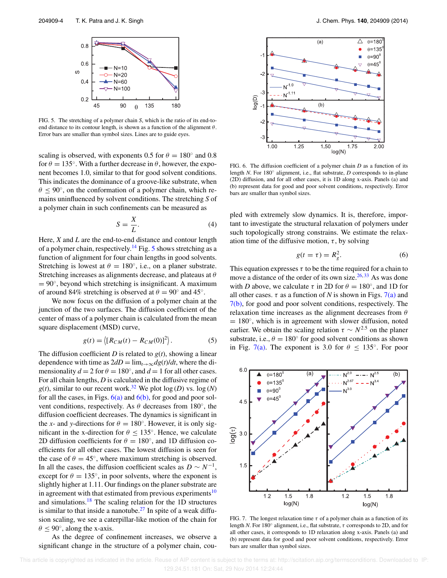

FIG. 5. The stretching of a polymer chain *S*, which is the ratio of its end-toend distance to its contour length, is shown as a function of the alignment  $\theta$ . Error bars are smaller than symbol sizes. Lines are to guide eyes.

scaling is observed, with exponents 0.5 for  $\theta = 180^\circ$  and 0.8 for  $\theta = 135^\circ$ . With a further decrease in  $\theta$ , however, the exponent becomes 1.0, similar to that for good solvent conditions. This indicates the dominance of a groove-like substrate, when  $\theta \le 90^{\circ}$ , on the conformation of a polymer chain, which remains uninfluenced by solvent conditions. The stretching *S* of a polymer chain in such confinements can be measured as

$$
S = \frac{X}{L}.\tag{4}
$$

Here, *X* and *L* are the end-to-end distance and contour length of a polymer chain, respectively.<sup>14</sup> Fig. 5 shows stretching as a function of alignment for four chain lengths in good solvents. Stretching is lowest at  $\theta = 180^\circ$ , i.e., on a planer substrate. Stretching increases as alignments decrease, and plateaus at  $\theta$  $= 90^\circ$ , beyond which stretching is insignificant. A maximum of around 84% stretching is observed at  $\theta = 90^\circ$  and 45°.

We now focus on the diffusion of a polymer chain at the junction of the two surfaces. The diffusion coefficient of the center of mass of a polymer chain is calculated from the mean square displacement (MSD) curve,

$$
g(t) = \langle [R_{CM}(t) - R_{CM}(0)]^2 \rangle. \tag{5}
$$

The diffusion coefficient *D* is related to  $g(t)$ , showing a linear dependence with time as  $2dD = \lim_{t \to \infty} dg(t)/dt$ , where the dimensionality  $d = 2$  for  $\theta = 180^\circ$ , and  $d = 1$  for all other cases. For all chain lengths, *D* is calculated in the diffusive regime of  $g(t)$ , similar to our recent work.<sup>32</sup> We plot  $log(D)$  vs.  $log(N)$ for all the cases, in Figs.  $6(a)$  and  $6(b)$ , for good and poor solvent conditions, respectively. As  $\theta$  decreases from 180 $^{\circ}$ , the diffusion coefficient decreases. The dynamics is significant in the *x*- and *y*-directions for  $\theta = 180^\circ$ . However, it is only significant in the x-direction for  $\theta \leq 135^\circ$ . Hence, we calculate 2D diffusion coefficients for  $\theta = 180^\circ$ , and 1D diffusion coefficients for all other cases. The lowest diffusion is seen for the case of  $\theta = 45^\circ$ , where maximum stretching is observed. In all the cases, the diffusion coefficient scales as  $D \sim N^{-1}$ , except for  $\theta = 135^{\circ}$ , in poor solvents, where the exponent is slightly higher at 1.11. Our findings on the planer substrate are in agreement with that estimated from previous experiments<sup>10</sup> and simulations. $18$  The scaling relation for the 1D structures is similar to that inside a nanotube.<sup>27</sup> In spite of a weak diffusion scaling, we see a caterpillar-like motion of the chain for  $\theta \le 90^\circ$ , along the x-axis.

As the degree of confinement increases, we observe a significant change in the structure of a polymer chain, cou-



FIG. 6. The diffusion coefficient of a polymer chain *D* as a function of its length *N*. For 180<sup>°</sup> alignment, i.e., flat substrate, *D* corresponds to in-plane (2D) diffusion, and for all other cases, it is 1D along x-axis. Panels (a) and (b) represent data for good and poor solvent conditions, respectively. Error bars are smaller than symbol sizes.

pled with extremely slow dynamics. It is, therefore, important to investigate the structural relaxation of polymers under such topologically strong constrains. We estimate the relaxation time of the diffusive motion,  $\tau$ , by solving

$$
g(t = \tau) = R_g^2. \tag{6}
$$

This equation expresses  $\tau$  to be the time required for a chain to move a distance of the order of its own size.  $26, 33$  As was done with *D* above, we calculate  $\tau$  in 2D for  $\theta = 180^\circ$ , and 1D for all other cases.  $\tau$  as a function of *N* is shown in Figs. 7(a) and 7(b), for good and poor solvent conditions, respectively. The relaxation time increases as the alignment decreases from  $\theta$  $= 180^\circ$ , which is in agreement with slower diffusion, noted earlier. We obtain the scaling relation  $\tau \sim N^{2.5}$  on the planer substrate, i.e.,  $\theta = 180^\circ$  for good solvent conditions as shown in Fig. 7(a). The exponent is 3.0 for  $\theta \leq 135^{\circ}$ . For poor



FIG. 7. The longest relaxation time  $\tau$  of a polymer chain as a function of its length *N*. For 180 $\circ$  alignment, i.e., flat substrate,  $\tau$  corresponds to 2D, and for all other cases, it corresponds to 1D relaxation along x-axis. Panels (a) and (b) represent data for good and poor solvent conditions, respectively. Error bars are smaller than symbol sizes.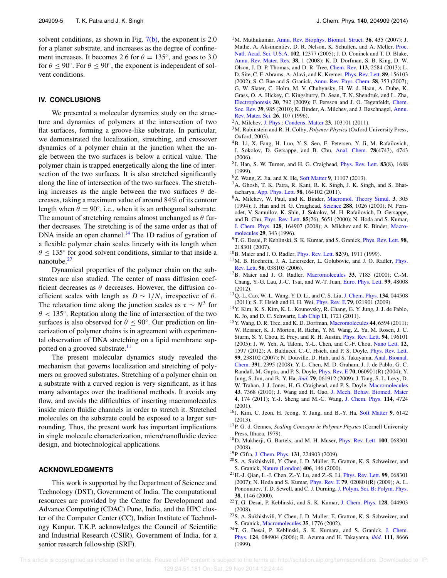solvent conditions, as shown in Fig.  $7(b)$ , the exponent is 2.0 for a planer substrate, and increases as the degree of confinement increases. It becomes 2.6 for  $\theta = 135^\circ$ , and goes to 3.0 for  $\theta \le 90^\circ$ . For  $\theta \le 90^\circ$ , the exponent is independent of solvent conditions.

#### **IV. CONCLUSIONS**

We presented a molecular dynamics study on the structure and dynamics of polymers at the intersection of two flat surfaces, forming a groove-like substrate. In particular, we demonstrated the localization, stretching, and crossover dynamics of a polymer chain at the junction when the angle between the two surfaces is below a critical value. The polymer chain is trapped energetically along the line of intersection of the two surfaces. It is also stretched significantly along the line of intersection of the two surfaces. The stretching increases as the angle between the two surfaces  $\theta$  decreases, taking a maximum value of around 84% of its contour length when  $\theta = 90^\circ$ , i.e., when it is an orthogonal substrate. The amount of stretching remains almost unchanged as  $\theta$  further decreases. The stretching is of the same order as that of DNA inside an open channel.<sup>14</sup> The 1D radius of gyration of a flexible polymer chain scales linearly with its length when  $\theta \leq 135^{\circ}$  for good solvent conditions, similar to that inside a nanotube.<sup>27</sup>

Dynamical properties of the polymer chain on the substrates are also studied. The center of mass diffusion coefficient decreases as  $\theta$  decreases. However, the diffusion coefficient scales with length as  $D \sim 1/N$ , irrespective of  $\theta$ . The relaxation time along the junction scales as  $\tau \sim N^3$  for  $\theta$  < 135°. Reptation along the line of intersection of the two surfaces is also observed for  $\theta \le 90^\circ$ . Our prediction on linearization of polymer chains is in agreement with experimental observation of DNA stretching on a lipid membrane supported on a grooved substrate.<sup>11</sup>

The present molecular dynamics study revealed the mechanism that governs localization and stretching of polymers on grooved substrates. Stretching of a polymer chain on a substrate with a curved region is very significant, as it has many advantages over the traditional methods. It avoids any flow, and avoids the difficulties of inserting macromolecules inside micro fluidic channels in order to stretch it. Stretched molecules on the substrate could be exposed to a larger surrounding. Thus, the present work has important implications in single molecule characterization, micro/nanofluidic device design, and biotechnological applications.

#### **ACKNOWLEDGMENTS**

This work is supported by the Department of Science and Technology (DST), Government of India. The computational resources are provided by the Centre for Development and Advance Computing (CDAC) Pune, India, and the HPC cluster of the Computer Center (CC), Indian Institute of Technology Kanpur. T.K.P. acknowledges the Council of Scientific and Industrial Research (CSIR), Government of India, for a senior research fellowship (SRF).

- <sup>1</sup>M. Muthukumar, Annu. Rev. Biophys. Biomol. Struct. **36**, 435 (2007); J. Mathe, A. Aksimentiev, D. R. Nelson, K. Schulten, and A. Meller, Proc. Natl. Acad. Sci. U.S.A. **102**, 12377 (2005); J. D. Coninck and T. D. Blake, Annu. Rev. Mater. Res. **38**, 1 (2008); K. D. Dorfman, S. B. King, D. W. Olson, J. D. P. Thomas, and D. R. Tree, Chem. Rev. **113**, 2584 (2013); L. D. Site, C. F. Abrams, A. Alavi, and K. Kremer, Phys. Rev. Lett. **89**, 156103 (2002); S. C. Bae and S. Granick, Annu. Rev. Phys. Chem. **58**, 353 (2007); G. W. Slater, C. Holm, M. V. Chubynsky, H. W. d. Haan, A. Dube, K. Grass, O. A. Hickey, C. Kingsburry, D. Sean, T. N. Shendruk, and L. Zha, Electrophoresis **30**, 792 (2009); F. Persson and J. O. Tegenfeldt, Chem. Soc. Rev. **39**, 985 (2010); K. Binder, A. Milchev, and J. Baschnagel, Annu. Rev. Mater. Sci. **26**, 107 (1996).
- <sup>2</sup>A. Milchev, J. Phys.: Condens. Matter **23**, 103101 (2011).
- <sup>3</sup>M. Rubinstein and R. H. Colby, *Polymer Physics* (Oxford University Press, Oxford, 2003).
- <sup>4</sup>B. Li, X. Fang, H. Luo, Y.-S. Seo, E. Petersen, Y. Ji, M. Rafailovich, J. Sokolov, D. Gersappe, and B. Chu, Anal. Chem. **78**(4743), 4743 (2006).
- 5 J. Han, S. W. Turner, and H. G. Craighead, Phys. Rev. Lett. **83**(8), 1688 (1999).
- <sup>6</sup>Z. Wang, Z. Jia, and X. He, Soft Matter **9**, 11107 (2013).
- <sup>7</sup>A. Ghosh, T. K. Patra, R. Kant, R. K. Singh, J. K. Singh, and S. Bhattacharya, App. Phys. Lett. **98**, 164102 (2011).
- <sup>8</sup>A. Milchev, W. Paul, and K. Binder, Macromol. Theory Simul. **3**, 305 (1994); J. Han and H. G. Craighead, Science **288**, 1026 (2000); N. Pernodet, V. Samuilov, K. Shin, J. Sokolov, M. H. Rafailovich, D. Gersappe, and B. Chu, Phys. Rev. Lett. **85**(26), 5651 (2000); N. Hoda and S. Kumar, J. Chem. Phys. **128**, 164907 (2008); A. Milchev and K. Binder, Macromolecules **29**, 343 (1996).
- <sup>9</sup>T. G. Desai, P. Keblinski, S. K. Kumar, and S. Granick, Phys. Rev. Lett. **98**, 218301 (2007).
- <sup>10</sup>B. Maier and J. O. Radler, Phys. Rev. Lett. **82**(9), 1911 (1999).
- <sup>11</sup>M. B. Hochrein, J. A. Leierseder, L. Golubovic, and J. O. Radler, *Phys.* Rev. Lett. **96**, 038103 (2006).
- <sup>12</sup>B. Maier and J. O. Radler, Macromolecules **33**, 7185 (2000); C.-M. Chang, Y.-G. Lau, J.-C. Tsai, and W.-T. Juan, Euro. Phys. Lett. **99**, 48008 (2012).
- <sup>13</sup>Q.-L. Cao, W.-L. Wang, Y. D. Li, and C. S. Liu, J. Chem. Phys. **134**, 044508 (2011); S. F. Hsieh and H. H. Wei, Phys. Rev. E **79**, 021901 (2009).
- <sup>14</sup>Y. Kim, K. S. Kim, K. L. Kounovsky, R. Chang, G. Y. Jung, J. J. de Pablo, K. Jo, and D. C. Schwartz, Lab Chip **11**, 1721 (2011).
- <sup>15</sup>Y. Wang, D. R. Tree, and K. D. Dorfman, Macromolecules **44**, 6594 (2011); W. Reisner, K. J. Morton, R. Riehn, Y. M. Wang, Z. Yu, M. Rosen, J. C. Sturm, S. Y. Chou, E. Frey, and R. H. Austin, Phys. Rev. Lett. **94**, 196101 (2005); J. W. Yeh, A. Taloni, Y.-L. Chen, and C.-F. Chou, Nano Lett. **12**, 1597 (2012); A. Balducci, C.-C. Hsieh, and P. S. Doyle, Phys. Rev. Lett. **99**, 238102 (2007); N. Douville, D. Huh, and S. Takayama, Anal. Bioanal. Chem. **391**, 2395 (2008); Y. L. Chen, M. D. Graham, J. J. de Pablo, G. C. Randall, M. Gupta, and P. S. Doyle, Phys. Rev. E **70**, 060901(R) (2004); Y. Jung, S. Jun, and B.-Y. Ha, *ibid.* **79**, 061912 (2009); J. Tang, S. L. Levy, D. W. Trahan, J. J. Jones, H. G. Craighead, and P. S. Doyle, Macromolecules **43**, 7368 (2010); J. Wang and H. Gao, J. Mech. Behav. Biomed. Mater **4**, 174 (2011); Y.-J. Sheng and M.-C. Wang, J. Chem. Phys. **114**, 4724 (2001).
- <sup>16</sup>J. Kim, C. Jeon, H. Jeong, Y. Jung, and B.-Y. Ha, Soft Matter **9**, 6142 (2013).
- <sup>17</sup>P. G. d. Gennes, *Scaling Concepts in Polymer Physics* (Cornell University Press, Ithaca, 1979).
- <sup>18</sup>D. Mukherji, G. Bartels, and M. H. Muser, Phys. Rev. Lett. **100**, 068301 (2008).
- <sup>19</sup>P. Cifra, J. Chem. Phys. **131**, 224903 (2009).
- <sup>20</sup>S. A. Sukhishvili, Y. Chen, J. D. Müller, E. Gratton, K. S. Schweizer, and S. Granick, Nature (London) **406**, 146 (2000).
- <sup>21</sup>H.-J. Qian, L.-J. Chen, Z.-Y. Lu, and Z.-S. Li, Phys. Rev. Lett. **99**, 068301 (2007); N. Hoda and S. Kumar, Phys. Rev. E **79**, 020801(R) (2009); A. L. Ponomarev, T. D. Sewell, and C. J. Durning, J. Polym. Sci. B: Polym. Phys. **38**, 1146 (2000).
- <sup>22</sup>T. G. Desai, P. Keblinski, and S. K. Kumar, J. Chem. Phys. **128**, 044903 (2008).
- <sup>23</sup>S. A. Sukhishvili, Y. Chen, J. D. Muller, E. Gratton, K. S. Schweizer, and S. Granick, Macromolecules **35**, 1776 (2002).
- <sup>24</sup>T. G. Desai, P. Keblinski, S. K. Kumara, and S. Granick, J. Chem. Phys. **124**, 084904 (2006); R. Azuma and H. Takayama, *ibid.* **111**, 8666 (1999).